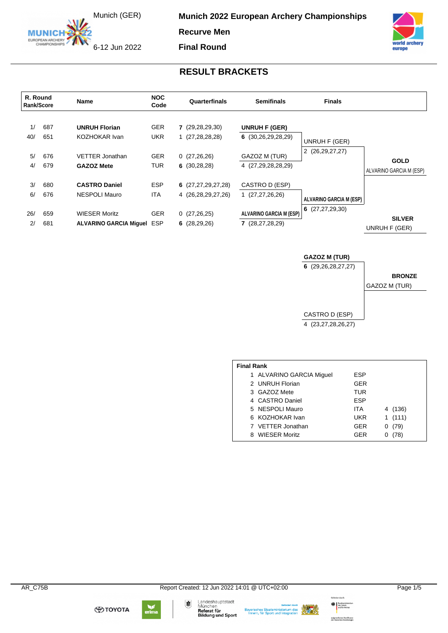Munich (GER)

6-12 Jun 2022

EUROPEAN ARCHERY

**Munich 2022 European Archery Championships** 

**Recurve Men**

**Final Round**



## **RESULT BRACKETS**

| R. Round<br>Rank/Score |                          | <b>Name</b>                                                                          | <b>NOC</b><br>Quarterfinals<br>Code                  |                                                                       | <b>Semifinals</b>                                                         | <b>Finals</b>                    |                                |
|------------------------|--------------------------|--------------------------------------------------------------------------------------|------------------------------------------------------|-----------------------------------------------------------------------|---------------------------------------------------------------------------|----------------------------------|--------------------------------|
| 1/<br>40/<br>5/<br>4/  | 687<br>651<br>676<br>679 | <b>UNRUH Florian</b><br><b>KOZHOKAR Ivan</b><br>VETTER Jonathan<br><b>GAZOZ Mete</b> | <b>GER</b><br><b>UKR</b><br><b>GER</b><br><b>TUR</b> | 7(29, 28, 29, 30)<br>(27, 28, 28, 28)<br>0(27,26,26)<br>6(30, 28, 28) | UNRUH F (GER)<br>6(30,26,29,28,29)<br>GAZOZ M (TUR)<br>4 (27,29,28,28,29) | UNRUH F (GER)<br>2 (26,29,27,27) | <b>GOLD</b>                    |
| 3/<br>6/               | 680<br>676               | <b>CASTRO Daniel</b><br>NESPOLI Mauro                                                | <b>ESP</b><br><b>ITA</b>                             | 6(27, 27, 29, 27, 28)<br>4 (26,28,29,27,26)                           | CASTRO D (ESP)<br>1 (27,27,26,26)                                         | <b>ALVARINO GARCIA M (ESP)</b>   | ALVARINO GARCIA M (ESP)        |
| 26/<br>2/              | 659<br>681               | <b>WIESER Moritz</b><br>ALVARINO GARCIA Miquel ESP                                   | <b>GER</b>                                           | 0(27,26,25)<br>6(28, 29, 26)                                          | <b>ALVARINO GARCIA M (ESP)</b><br>7(28,27,28,29)                          | 6(27, 27, 29, 30)                | <b>SILVER</b><br>UNRUH F (GER) |

**GAZOZ M (TUR) 6** (29,26,28,27,27) CASTRO D (ESP) 4 (23,27,28,26,27) **BRONZE** GAZOZ M (TUR)

| <b>Final Rank</b> |                          |            |           |  |  |  |  |  |  |
|-------------------|--------------------------|------------|-----------|--|--|--|--|--|--|
|                   | 1 ALVARINO GARCIA Miguel | <b>ESP</b> |           |  |  |  |  |  |  |
|                   | 2 UNRUH Florian          | <b>GER</b> |           |  |  |  |  |  |  |
|                   | 3 GAZOZ Mete             | TUR        |           |  |  |  |  |  |  |
|                   | 4 CASTRO Daniel          | <b>ESP</b> |           |  |  |  |  |  |  |
|                   | 5 NESPOLI Mauro          | <b>ITA</b> | 4 (136)   |  |  |  |  |  |  |
|                   | 6 KOZHOKAR Ivan          | <b>UKR</b> | (111)     |  |  |  |  |  |  |
|                   | 7 VETTER Jonathan        | <b>GER</b> | (79)<br>0 |  |  |  |  |  |  |
|                   | 8 WIESER Moritz          | <b>GER</b> | (78)      |  |  |  |  |  |  |
|                   |                          |            |           |  |  |  |  |  |  |









Bayerisches Staatsministerium des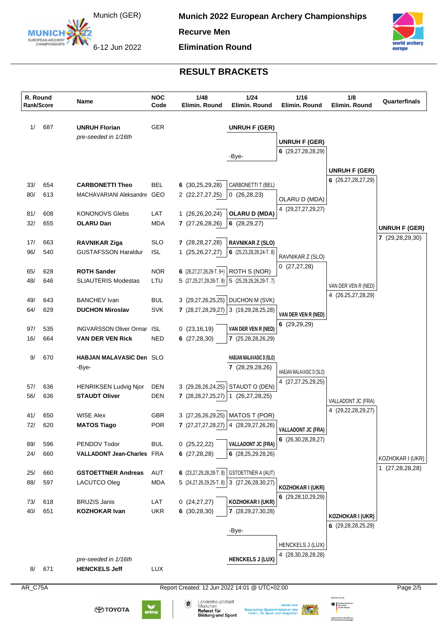Munich (GER)

**Munich 2022 European Archery Championships** 

**Recurve Men**

6-12 Jun 2022

**MUNICH** EUROPEAN ARCHERY

**Elimination Round**



### **RESULT BRACKETS**

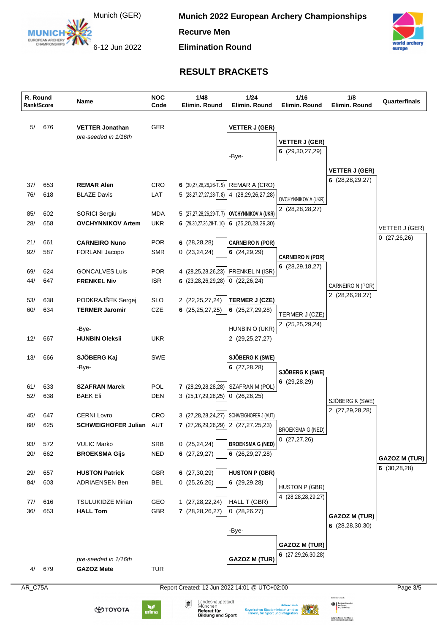

**Munich 2022 European Archery Championships** 

**Recurve Men**

6-12 Jun 2022

EUROPEAN ARCHERY

**Elimination Round**



# **RESULT BRACKETS**

| R. Round<br>Rank/Score |            | Name                                           | <b>NOC</b><br>Code | 1/48<br><b>Elimin, Round</b>                                 | 1/24<br>Elimin. Round                        | 1/16<br>Elimin. Round             | 1/8<br>Elimin. Round                       | Quarterfinals        |
|------------------------|------------|------------------------------------------------|--------------------|--------------------------------------------------------------|----------------------------------------------|-----------------------------------|--------------------------------------------|----------------------|
| 5/                     | 676        | <b>VETTER Jonathan</b><br>pre-seeded in 1/16th | GER                |                                                              | <b>VETTER J (GER)</b>                        | <b>VETTER J (GER)</b>             |                                            |                      |
|                        |            |                                                |                    |                                                              | -Bye-                                        | 6(29,30,27,29)                    |                                            |                      |
|                        |            |                                                |                    |                                                              |                                              |                                   |                                            |                      |
|                        |            |                                                |                    |                                                              |                                              |                                   | <b>VETTER J (GER)</b><br>6(28, 28, 29, 27) |                      |
| 37/<br>76/             | 653<br>618 | <b>REMAR Alen</b><br><b>BLAZE Davis</b>        | <b>CRO</b><br>LAT  | 6 $(30,27,28,26,26$ -T. 9)<br>$5(28, 27, 27, 27, 28 - T. 8)$ | <b>REMAR A (CRO)</b><br>4 (28,29,26,27,28)   |                                   |                                            |                      |
|                        |            |                                                |                    |                                                              |                                              | OVCHYNNIKOV A (UKR)               |                                            |                      |
| 85/                    | 602        | <b>SORICI Sergiu</b>                           | <b>MDA</b>         | 5 (27,27,28,26,29-T.7)                                       | <b>OVCHYNNIKOV A (UKR)</b>                   | 2 (28,28,28,27)                   |                                            |                      |
| 28/                    | 658        | <b>OVCHYNNIKOV Artem</b>                       | <b>UKR</b>         | 6 $(29,30,27,26,28$ -T. 10)                                  | 6 $(25,20,28,29,30)$                         |                                   |                                            | VETTER J (GER)       |
| 21/                    | 661        | <b>CARNEIRO Nuno</b>                           | <b>POR</b>         | 6(28, 28, 28)                                                | <b>CARNEIRO N (POR)</b>                      |                                   |                                            | 0(27,26,26)          |
| 92/                    | 587        | FORLANI Jacopo                                 | <b>SMR</b>         | 0(23,24,24)                                                  | 6(24,29,29)                                  |                                   |                                            |                      |
|                        |            |                                                |                    |                                                              |                                              | <b>CARNEIRO N (POR)</b>           |                                            |                      |
| 69/                    | 624        | <b>GONCALVES Luis</b>                          | <b>POR</b>         | 4 (28,25,28,26,23)                                           | FRENKEL N (ISR)                              | 6(28, 29, 18, 27)                 |                                            |                      |
| 44/                    | 647        | <b>FRENKEL Niv</b>                             | <b>ISR</b>         | 6(23,28,26,29,28)                                            | 0(22,26,24)                                  |                                   | CARNEIRO N (POR)                           |                      |
| 53/                    | 638        | PODKRAJŠEK Sergej                              | <b>SLO</b>         | 2 (22,25,27,24)                                              | <b>TERMER J (CZE)</b>                        |                                   | 2 (28,26,28,27)                            |                      |
| 60/                    | 634        | <b>TERMER Jaromir</b>                          | CZE                | 6(25,25,27,25)                                               | 6(25, 27, 29, 28)                            |                                   |                                            |                      |
|                        |            |                                                |                    |                                                              |                                              | TERMER J (CZE)<br>2 (25,25,29,24) |                                            |                      |
|                        |            | -Bye-                                          |                    |                                                              | HUNBIN O (UKR)                               |                                   |                                            |                      |
| 12/                    | 667        | <b>HUNBIN Oleksii</b>                          | <b>UKR</b>         |                                                              | 2 (29, 25, 27, 27)                           |                                   |                                            |                      |
| 13/                    | 666        | SJÖBERG Kaj                                    | <b>SWE</b>         |                                                              | SJÖBERG K (SWE)                              |                                   |                                            |                      |
|                        |            | -Bye-                                          |                    |                                                              | 6(27,28,28)                                  | SJÖBERG K (SWE)                   |                                            |                      |
|                        |            |                                                |                    |                                                              |                                              | 6(29, 28, 29)                     |                                            |                      |
| 61/<br>52/             | 633<br>638 | <b>SZAFRAN Marek</b><br><b>BAEK Eli</b>        | POL<br><b>DEN</b>  | 7(28,29,28,28,28)<br>3 (25,17,29,28,25)                      | SZAFRAN M (POL)<br>0(26,26,25)               |                                   |                                            |                      |
|                        |            |                                                |                    |                                                              |                                              |                                   | SJÖBERG K (SWE)                            |                      |
| 45/                    | 647        | <b>CERNI Lovro</b>                             | CRO                |                                                              | 3 (27,28,28,24,27) SCHWEIGHOFER J (AUT)      |                                   | 2 (27,29,28,28)                            |                      |
| 68/                    | 625        | <b>SCHWEIGHOFER Julian</b>                     | AUT                | 7 $(27,26,29,26,29)$ 2 $(27,27,25,23)$                       |                                              | <b>BROEKSMA G (NED)</b>           |                                            |                      |
|                        |            |                                                |                    |                                                              |                                              | 0(27, 27, 26)                     |                                            |                      |
| 93/<br>20/             | 572<br>662 | <b>VULIC Marko</b><br><b>BROEKSMA Gijs</b>     | SRB<br><b>NED</b>  | 0(25, 24, 24)<br>6(27,29,27)                                 | <b>BROEKSMA G (NED)</b><br>6(26, 29, 27, 28) |                                   |                                            |                      |
|                        |            |                                                |                    |                                                              |                                              |                                   |                                            | <b>GAZOZ M (TUR)</b> |
| 29/                    | 657        | <b>HUSTON Patrick</b>                          | GBR                | 6(27,30,29)                                                  | <b>HUSTON P (GBR)</b>                        |                                   |                                            | 6(30, 28, 28)        |
| 84/                    | 603        | <b>ADRIAENSEN Ben</b>                          | <b>BEL</b>         | 0(25,26,26)                                                  | 6 $(29, 29, 28)$                             | HUSTON P (GBR)                    |                                            |                      |
| 77/                    |            | <b>TSULUKIDZE Mirian</b>                       | GEO                | 1 (27,28,22,24)                                              | HALL T (GBR)                                 | 4 (28,28,28,29,27)                |                                            |                      |
| 36/                    | 616<br>653 | <b>HALL Tom</b>                                | GBR                | 7(28, 28, 26, 27)                                            | 0(28, 26, 27)                                |                                   |                                            |                      |
|                        |            |                                                |                    |                                                              |                                              |                                   | <b>GAZOZ M (TUR)</b>                       |                      |
|                        |            |                                                |                    |                                                              | -Bye-                                        |                                   | 6(28, 28, 30, 30)                          |                      |
|                        |            |                                                |                    |                                                              |                                              | <b>GAZOZ M (TUR)</b>              |                                            |                      |
|                        |            | pre-seeded in 1/16th                           |                    |                                                              | <b>GAZOZ M (TUR)</b>                         | 6(27,29,26,30,28)                 |                                            |                      |
| 4/                     | 679        | <b>GAZOZ Mete</b>                              | <b>TUR</b>         |                                                              |                                              |                                   |                                            |                      |
|                        |            |                                                |                    |                                                              |                                              |                                   |                                            |                      |
| AR_C75A                |            |                                                |                    | Report Created: 12 Jun 2022 14:01 @ UTC+02:00                |                                              |                                   |                                            | Page 3/5             |
|                        |            |                                                |                    | Landeshauptstadt<br><b>Sec.</b>                              |                                              |                                   |                                            |                      |

⊕тоүотд

Landesnaupistadt<br>München<br>**Referat für**<br>**Bildung und Sport** ⋓

Bayerisches Staatsministerium des<br>Innern, für Sport und Integration

aufgrund eines Beschlusses<br>des Deutschen Bundestages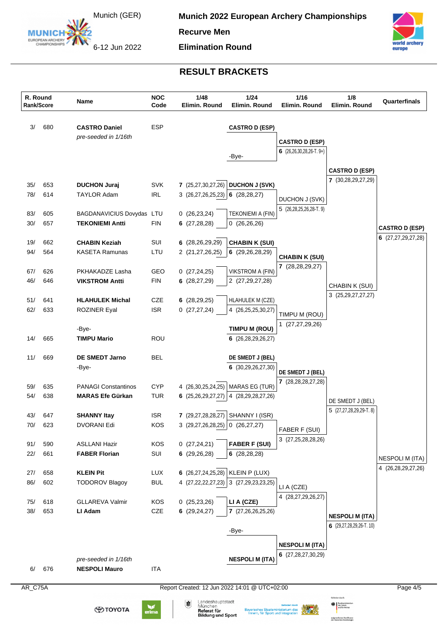Munich (GER)

**Munich 2022 European Archery Championships** 

**Recurve Men**

6-12 Jun 2022

EUROPEAN ARCHERY

**Elimination Round**



## **RESULT BRACKETS**

| R. Round<br>Rank/Score |     | Name                       | <b>NOC</b><br>Code | 1/48<br>Elimin, Round                                   | $1/24$<br>Elimin. Round                                                      | 1/16<br>Elimin. Round            | 1/8<br>Elimin. Round                                     | Quarterfinals            |
|------------------------|-----|----------------------------|--------------------|---------------------------------------------------------|------------------------------------------------------------------------------|----------------------------------|----------------------------------------------------------|--------------------------|
| 3/                     | 680 | <b>CASTRO Daniel</b>       | <b>ESP</b>         |                                                         | <b>CASTRO D (ESP)</b>                                                        |                                  |                                                          |                          |
|                        |     | pre-seeded in 1/16th       |                    |                                                         |                                                                              |                                  |                                                          |                          |
|                        |     |                            |                    |                                                         |                                                                              | <b>CASTRO D (ESP)</b>            |                                                          |                          |
|                        |     |                            |                    |                                                         | -Bye-                                                                        | 6 $(26, 26, 30, 28, 26 - T, 9+)$ |                                                          |                          |
|                        |     |                            |                    |                                                         |                                                                              |                                  | <b>CASTRO D (ESP)</b>                                    |                          |
|                        |     |                            |                    |                                                         |                                                                              |                                  | 7 (30,28,29,27,29)                                       |                          |
| 35/                    | 653 | <b>DUCHON Juraj</b>        | <b>SVK</b>         | 7(25,27,30,27,26)                                       | <b>DUCHON J (SVK)</b>                                                        |                                  |                                                          |                          |
| 78/                    | 614 | <b>TAYLOR Adam</b>         | <b>IRL</b>         | 3(26,27,26,25,23)                                       | 6(28, 28, 27)                                                                | DUCHON J (SVK)                   |                                                          |                          |
| 83/                    | 605 | BAGDANAVICIUS Dovydas LTU  |                    | 0(26, 23, 24)                                           | <b>TEKONIEMI A (FIN)</b>                                                     | 5 (26,28,25,26,28-T. 9)          |                                                          |                          |
| 30/                    | 657 | <b>TEKONIEMI Antti</b>     | <b>FIN</b>         | 6(27,28,28)                                             | 0(26,26,26)                                                                  |                                  |                                                          |                          |
|                        |     |                            |                    |                                                         |                                                                              |                                  |                                                          | <b>CASTRO D (ESP)</b>    |
| 19/                    | 662 | <b>CHABIN Keziah</b>       | SUI                | 6(28, 26, 29, 29)                                       | <b>CHABIN K (SUI)</b>                                                        |                                  |                                                          | 6 $(27, 27, 29, 27, 28)$ |
| 94/                    | 564 | <b>KASETA Ramunas</b>      | LTU                | 2 (21,27,26,25)                                         | 6(29, 26, 28, 29)                                                            |                                  |                                                          |                          |
|                        |     |                            |                    |                                                         |                                                                              | <b>CHABIN K (SUI)</b>            |                                                          |                          |
| 67/                    | 626 | PKHAKADZE Lasha            | GEO                | 0(27,24,25)                                             | <b>VIKSTROM A (FIN)</b>                                                      | 7(28, 28, 29, 27)                |                                                          |                          |
| 46/                    | 646 | <b>VIKSTROM Antti</b>      | <b>FIN</b>         | 6 $(28, 27, 29)$                                        | 2 (27,29,27,28)                                                              |                                  | CHABIN K (SUI)                                           |                          |
|                        |     |                            |                    |                                                         |                                                                              |                                  | 3 (25, 29, 27, 27, 27)                                   |                          |
| 51/                    | 641 | <b>HLAHULEK Michal</b>     | CZE                | 6(28, 29, 25)                                           | HLAHULEK M (CZE)                                                             |                                  |                                                          |                          |
| 62/                    | 633 | <b>ROZINER Eyal</b>        | <b>ISR</b>         | 0(27, 27, 24)                                           | 4 (26,25,25,30,27)                                                           | TIMPU M (ROU)                    |                                                          |                          |
|                        |     |                            |                    |                                                         |                                                                              | 1 (27,27,29,26)                  |                                                          |                          |
|                        |     | -Bye-                      |                    |                                                         | TIMPU M (ROU)                                                                |                                  |                                                          |                          |
| 14/                    | 665 | <b>TIMPU Mario</b>         | ROU                |                                                         | 6(26, 28, 29, 26, 27)                                                        |                                  |                                                          |                          |
| 11/                    | 669 | <b>DE SMEDT Jarno</b>      | <b>BEL</b>         |                                                         | DE SMEDT J (BEL)                                                             |                                  |                                                          |                          |
|                        |     | -Bye-                      |                    |                                                         | 6 (30,29,26,27,30)                                                           |                                  |                                                          |                          |
|                        |     |                            |                    |                                                         |                                                                              | DE SMEDT J (BEL)                 |                                                          |                          |
| 59/                    | 635 | <b>PANAGI Constantinos</b> | <b>CYP</b>         | 4 (26,30,25,24,25)                                      | <b>MARAS EG (TUR)</b>                                                        | 7 (28,28,28,27,28)               |                                                          |                          |
| 54/                    | 638 | <b>MARAS Efe Gürkan</b>    | <b>TUR</b>         | 6(25,26,29,27,27)                                       | 4 (28,29,28,27,26)                                                           |                                  |                                                          |                          |
|                        |     |                            |                    |                                                         |                                                                              |                                  | DE SMEDT J (BEL)<br>5 (27,27,28,29,29-T.8)               |                          |
| 43/                    | 647 | <b>SHANNY Itay</b>         | <b>ISR</b>         | 7(29,27,28,28,27)                                       | SHANNY I (ISR)                                                               |                                  |                                                          |                          |
| 70/                    | 623 | DVORANI Edi                | KOS                | $3(29,27,26,28,25)$ 0 $(26,27,27)$                      |                                                                              | FABER F (SUI)                    |                                                          |                          |
|                        |     |                            |                    |                                                         |                                                                              | 3 (27,25,28,28,26)               |                                                          |                          |
| 91/                    | 590 | <b>ASLLANI Hazir</b>       | KOS                | 0(27,24,21)                                             | <b>FABER F (SUI)</b>                                                         |                                  |                                                          |                          |
| 22/                    | 661 | <b>FABER Florian</b>       | SUI                | 6(29,26,28)                                             | 6(28, 28, 28)                                                                |                                  |                                                          | NESPOLI M (ITA)          |
| 27/                    | 658 | <b>KLEIN Pit</b>           | LUX                | 6 $(26, 27, 24, 25, 28)$                                | KLEIN P (LUX)                                                                |                                  |                                                          | 4 (26,28,29,27,26)       |
| 86/                    | 602 | <b>TODOROV Blagoy</b>      | <b>BUL</b>         | 4 (27,22,22,27,23)                                      | 3 (27, 29, 23, 23, 25)                                                       |                                  |                                                          |                          |
|                        |     |                            |                    |                                                         |                                                                              | LI A (CZE)                       |                                                          |                          |
| 75/                    | 618 | <b>GLLAREVA Valmir</b>     | <b>KOS</b>         | 0(25,23,26)                                             | LI A (CZE)                                                                   | 4 (28,27,29,26,27)               |                                                          |                          |
| 38/                    | 653 | LI Adam                    | CZE                | 6(29, 24, 27)                                           | 7 (27,26,26,25,26)                                                           |                                  |                                                          |                          |
|                        |     |                            |                    |                                                         |                                                                              |                                  | <b>NESPOLI M (ITA)</b>                                   |                          |
|                        |     |                            |                    |                                                         | -Bye-                                                                        |                                  | 6 (29,27,28,29,26-T. 10)                                 |                          |
|                        |     |                            |                    |                                                         |                                                                              | <b>NESPOLI M (ITA)</b>           |                                                          |                          |
|                        |     |                            |                    |                                                         |                                                                              | 6 $(27, 28, 27, 30, 29)$         |                                                          |                          |
|                        |     | pre-seeded in 1/16th       |                    |                                                         | <b>NESPOLI M (ITA)</b>                                                       |                                  |                                                          |                          |
| 6/                     | 676 | <b>NESPOLI Mauro</b>       | <b>ITA</b>         |                                                         |                                                                              |                                  |                                                          |                          |
| AR_C75A                |     |                            |                    |                                                         | Report Created: 12 Jun 2022 14:01 @ UTC+02:00                                |                                  |                                                          | Page 4/5                 |
|                        |     |                            |                    | Landeshauptstadt                                        |                                                                              |                                  | Gefördert durch:                                         |                          |
|                        |     | <b>O TOYOTA</b>            | W<br>erima         | 咖<br>München<br>Referat für<br><b>Bildung und Sport</b> | <b>Bayerisches Staatsministerium des</b><br>nnern, für Sport und Integration |                                  | des Innem<br>und für Heimat<br>autgrund eines Beschlusse |                          |

aufgrund eines Beschlusses<br>des Deutschen Bundestages